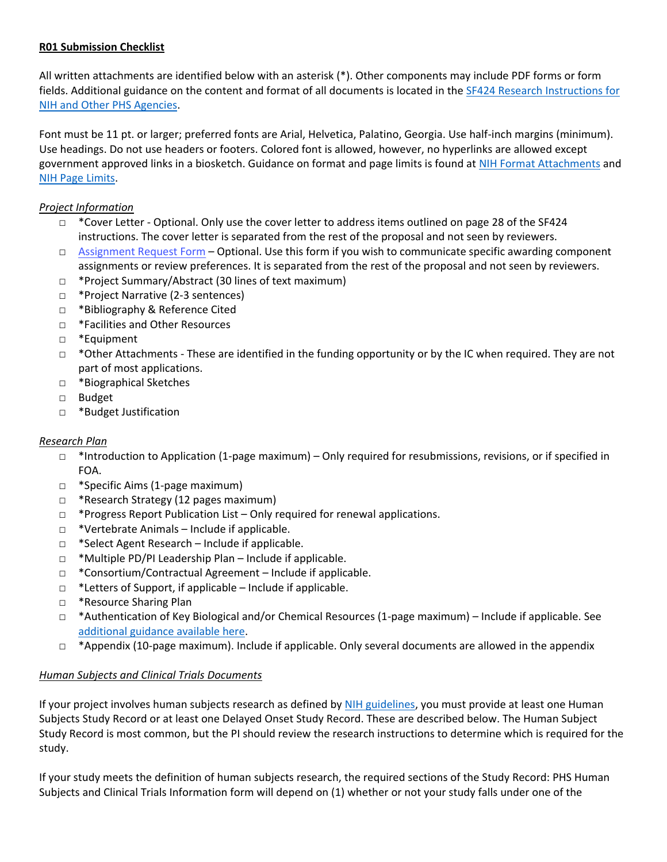## **R01 Submission Checklist**

All written attachments are identified below with an asterisk (\*). Other components may include PDF forms or form fields. Additional guidance on the content and format of all documents is located in the [SF424 Research Instructions for](https://grants.nih.gov/grants/how-to-apply-application-guide/forms-f/research-forms-f.pdf)  [NIH and Other PHS Agencies.](https://grants.nih.gov/grants/how-to-apply-application-guide/forms-f/research-forms-f.pdf)

Font must be 11 pt. or larger; preferred fonts are Arial, Helvetica, Palatino, Georgia. Use half-inch margins (minimum). Use headings. Do not use headers or footers. Colored font is allowed, however, no hyperlinks are allowed except government approved links in a biosketch. Guidance on format and page limits is found at [NIH Format Attachments](https://grants.nih.gov/grants/how-to-apply-application-guide/format-and-write/format-attachments.htm#papersizeandmargins) and [NIH Page Limits.](https://grants.nih.gov/grants/how-to-apply-application-guide/format-and-write/page-limits.htm)

# *Project Information*

- $\Box$  \*Cover Letter Optional. Only use the cover letter to address items outlined on page 28 of the SF424 instructions. The cover letter is separated from the rest of the proposal and not seen by reviewers.
- □ Assignment Request Form Optional. Use this form if you wish to communicate specific awarding component assignments or review preferences. It is separated from the rest of the proposal and not seen by reviewers.
- □ \*Project Summary/Abstract (30 lines of text maximum)
- □ \*Project Narrative (2-3 sentences)
- □ \*Bibliography & Reference Cited
- □ \*Facilities and Other Resources
- □ \*Equipment
- □ \*Other Attachments These are identified in the funding opportunity or by the IC when required. They are not part of most applications.
- □ \*Biographical Sketches
- □ Budget
- □ \*Budget Justification

### *Research Plan*

- □ \*Introduction to Application (1-page maximum) Only required for resubmissions, revisions, or if specified in FOA.
- □ \*Specific Aims (1-page maximum)
- □ \*Research Strategy (12 pages maximum)
- □ \*Progress Report Publication List Only required for renewal applications.
- $\Box$  \*Vertebrate Animals Include if applicable.
- □ \*Select Agent Research Include if applicable.
- □ \*Multiple PD/PI Leadership Plan Include if applicable.
- □ \*Consortium/Contractual Agreement Include if applicable.
- □ \*Letters of Support, if applicable Include if applicable.
- □ \*Resource Sharing Plan
- □ \*Authentication of Key Biological and/or Chemical Resources (1-page maximum) Include if applicable. See [additional guidance available here.](https://grants.nih.gov/grants/guide/notice-files/NOT-OD-17-068.html)
- $\Box$  \*Appendix (10-page maximum). Include if applicable. Only several documents are allowed in the appendix

### *Human Subjects and Clinical Trials Documents*

If your project involves human subjects research as defined b[y NIH guidelines,](https://grants.nih.gov/policy/humansubjects/research.htm) you must provide at least one Human Subjects Study Record or at least one Delayed Onset Study Record. These are described below. The Human Subject Study Record is most common, but the PI should review the research instructions to determine which is required for the study.

If your study meets the definition of human subjects research, the required sections of the Study Record: PHS Human Subjects and Clinical Trials Information form will depend on (1) whether or not your study falls under one of the